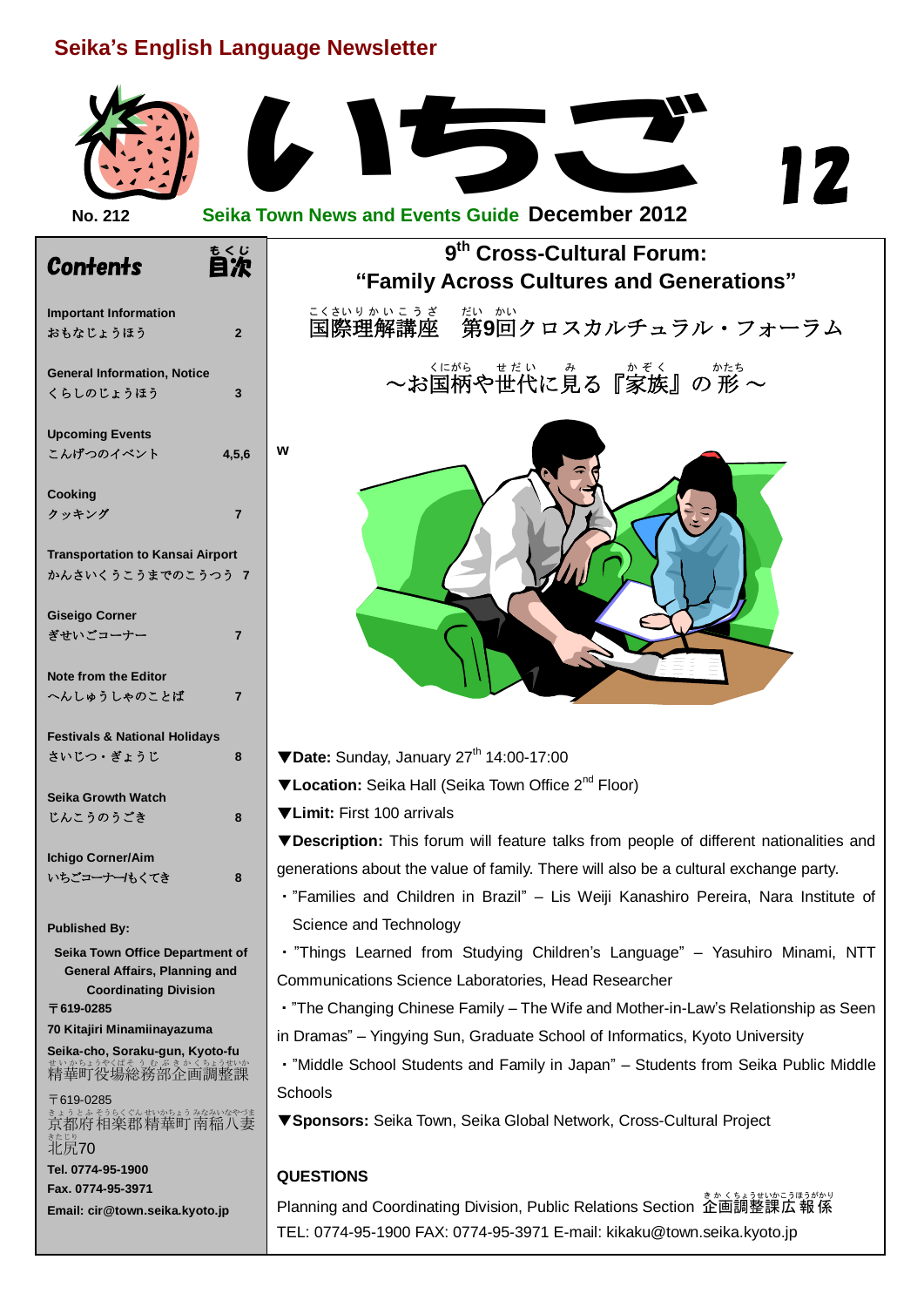## **Seika's English Language Newsletter**

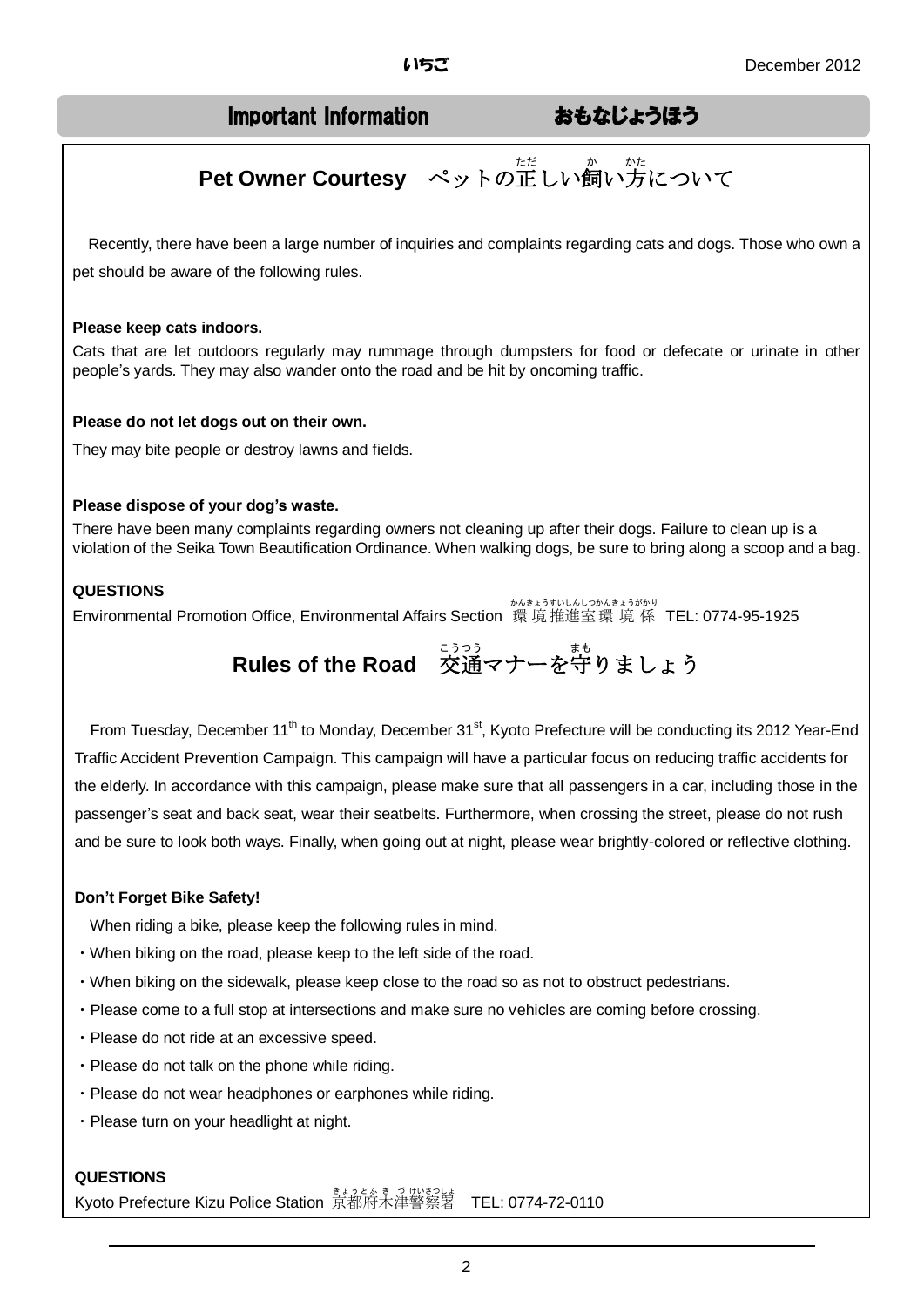## Important Information おもなじょうほう

# **Pet Owner Courtesy** ペットの正しい飼い方について

Recently, there have been a large number of inquiries and complaints regarding cats and dogs. Those who own a pet should be aware of the following rules.

#### **Please keep cats indoors.**

Cats that are let outdoors regularly may rummage through dumpsters for food or defecate or urinate in other people's yards. They may also wander onto the road and be hit by oncoming traffic.

#### **Please do not let dogs out on their own.**

They may bite people or destroy lawns and fields.

#### **Please dispose of your dog's waste.**

There have been many complaints regarding owners not cleaning up after their dogs. Failure to clean up is a violation of the Seika Town Beautification Ordinance. When walking dogs, be sure to bring along a scoop and a bag.

#### **QUESTIONS**

Environmental Promotion Office, Environmental Affairs Section 環 境 推進室 環 境 係 TEL: 0774-95-1925

# - <del>- and set the Road - 交通マナーを</del>守りましょう

From Tuesday, December 11<sup>th</sup> to Monday, December 31<sup>st</sup>, Kyoto Prefecture will be conducting its 2012 Year-End Traffic Accident Prevention Campaign. This campaign will have a particular focus on reducing traffic accidents for the elderly. In accordance with this campaign, please make sure that all passengers in a car, including those in the passenger's seat and back seat, wear their seatbelts. Furthermore, when crossing the street, please do not rush and be sure to look both ways. Finally, when going out at night, please wear brightly-colored or reflective clothing.

#### **Don't Forget Bike Safety!**

When riding a bike, please keep the following rules in mind.

- ・When biking on the road, please keep to the left side of the road.
- ・When biking on the sidewalk, please keep close to the road so as not to obstruct pedestrians.
- ・Please come to a full stop at intersections and make sure no vehicles are coming before crossing.
- ・Please do not ride at an excessive speed.
- ・Please do not talk on the phone while riding.
- ・Please do not wear headphones or earphones while riding.
- ・Please turn on your headlight at night.

#### **QUESTIONS**

Kyoto Prefecture Kizu Police Station 京都府木津警察署 TEL: 0774-72-0110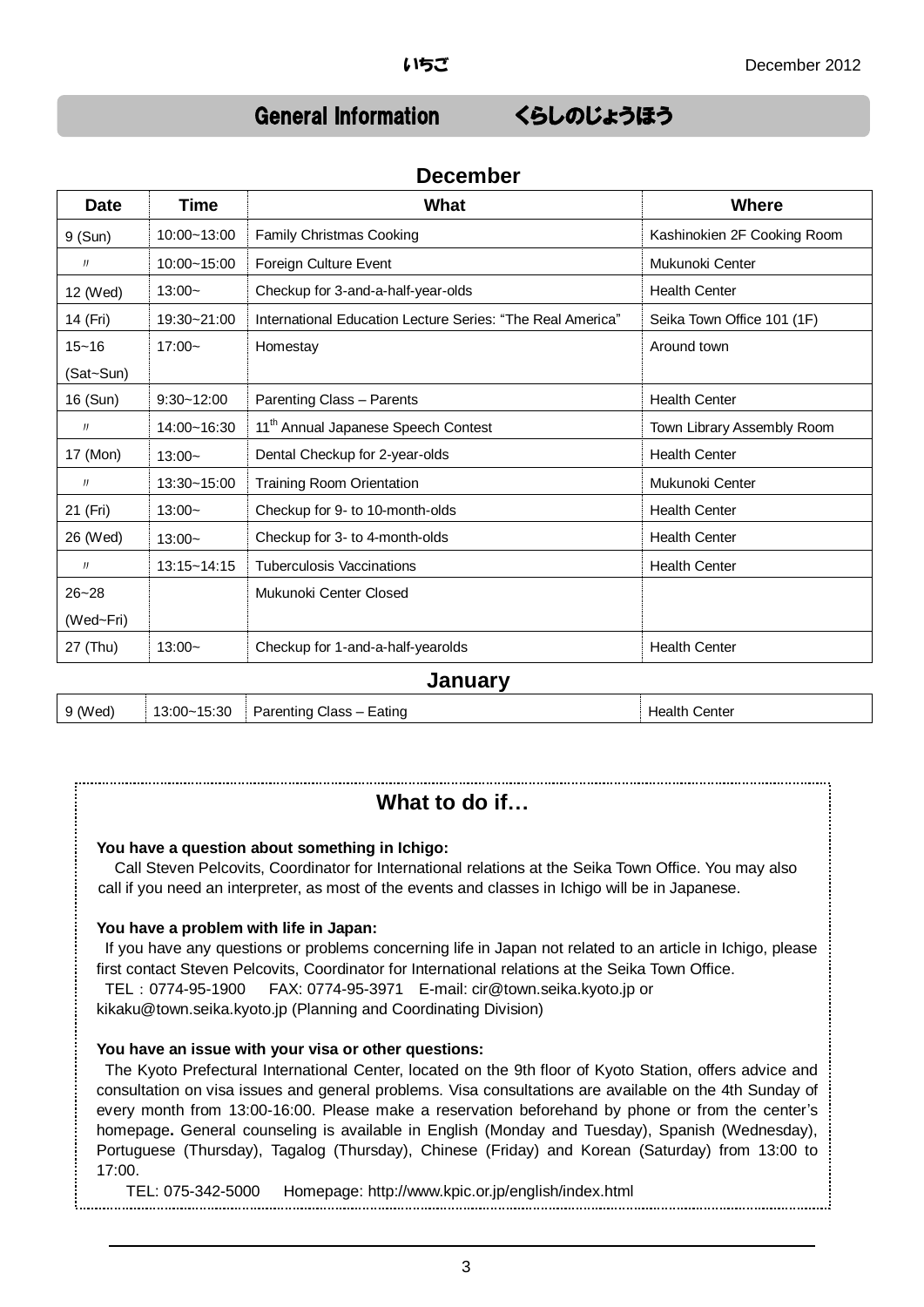## General Information くらしのじょうほう

| <b>Date</b> | <b>Time</b>     | What                                                       | <b>Where</b>                |
|-------------|-----------------|------------------------------------------------------------|-----------------------------|
| 9 (Sun)     | 10:00~13:00     | <b>Family Christmas Cooking</b>                            | Kashinokien 2F Cooking Room |
| J           | $10:00 - 15:00$ | Foreign Culture Event                                      | Mukunoki Center             |
| 12 (Wed)    | $13:00-$        | Checkup for 3-and-a-half-year-olds                         | <b>Health Center</b>        |
| 14 (Fri)    | 19:30~21:00     | International Education Lecture Series: "The Real America" | Seika Town Office 101 (1F)  |
| $15 - 16$   | $17:00-$        | Homestay                                                   | Around town                 |
| (Sat~Sun)   |                 |                                                            |                             |
| 16 (Sun)    | $9:30 - 12:00$  | <b>Parenting Class - Parents</b>                           | <b>Health Center</b>        |
| IJ          | 14:00~16:30     | 11 <sup>th</sup> Annual Japanese Speech Contest            | Town Library Assembly Room  |
| 17 (Mon)    | $13:00-$        | Dental Checkup for 2-year-olds                             | <b>Health Center</b>        |
| IJ          | 13:30~15:00     | Training Room Orientation                                  | Mukunoki Center             |
| 21 (Fri)    | $13:00-$        | Checkup for 9- to 10-month-olds                            | <b>Health Center</b>        |
| 26 (Wed)    | $13:00-$        | Checkup for 3- to 4-month-olds                             | <b>Health Center</b>        |
| J           | $13:15 - 14:15$ | <b>Tuberculosis Vaccinations</b>                           | <b>Health Center</b>        |
| $26 - 28$   |                 | Mukunoki Center Closed                                     |                             |
| (Wed~Fri)   |                 |                                                            |                             |
| 27 (Thu)    | $13:00-$        | Checkup for 1-and-a-half-yearolds                          | <b>Health Center</b>        |

#### **January**

| 9 (Wed) | $\vert$ 13:00~15:30 Parenting Class – Eating | <b>Health Center</b> |
|---------|----------------------------------------------|----------------------|

## **What to do if…**

#### **You have a question about something in Ichigo:**

Call Steven Pelcovits, Coordinator for International relations at the Seika Town Office. You may also call if you need an interpreter, as most of the events and classes in Ichigo will be in Japanese.

#### **You have a problem with life in Japan:**

If you have any questions or problems concerning life in Japan not related to an article in Ichigo, please first contact Steven Pelcovits, Coordinator for International relations at the Seika Town Office.

TEL:0774-95-1900 FAX: 0774-95-3971 E-mail: cir@town.seika.kyoto.jp or kikaku@town.seika.kyoto.jp (Planning and Coordinating Division)

#### **You have an issue with your visa or other questions:**

The Kyoto Prefectural International Center, located on the 9th floor of Kyoto Station, offers advice and consultation on visa issues and general problems. Visa consultations are available on the 4th Sunday of every month from 13:00-16:00. Please make a reservation beforehand by phone or from the center's homepage**.** General counseling is available in English (Monday and Tuesday), Spanish (Wednesday), Portuguese (Thursday), Tagalog (Thursday), Chinese (Friday) and Korean (Saturday) from 13:00 to 17:00.

TEL: 075-342-5000 Homepage: http://www.kpic.or.jp/english/index.html

## **December**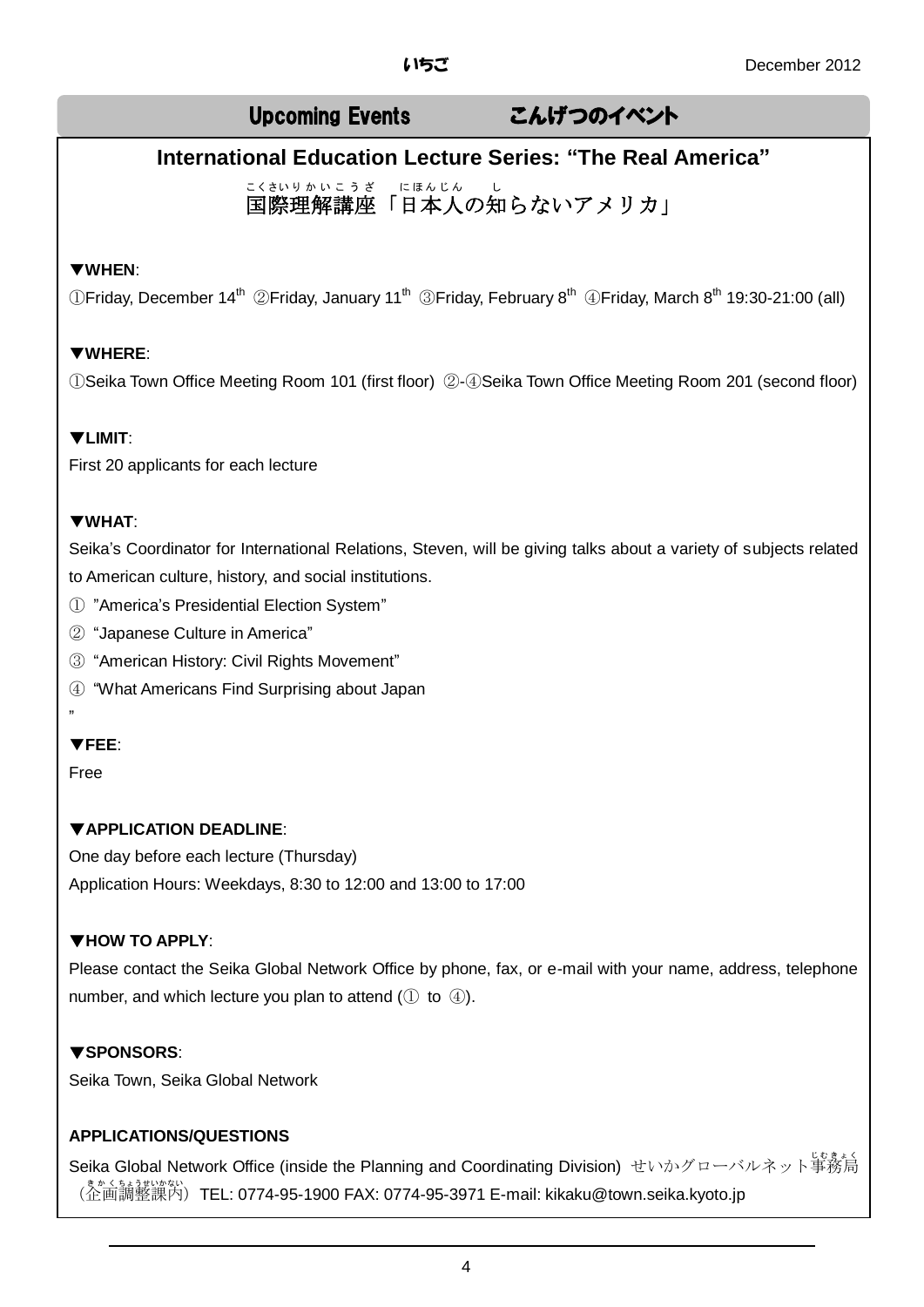## Upcoming Events こんげつのイベント

## **International Education Lecture Series: "The Real America"**

<u>こくさいりかいこうざー</u> にほんじん ーレ<br>国際理解講座「日本人の知らないアメリカ」 こくさい りかい こうざ にほんじん

#### ▼**WHEN**:

 $\mathbb D$ Friday, December 14<sup>th</sup> ②Friday, January 11<sup>th</sup> ③Friday, February 8<sup>th</sup> ④Friday, March 8<sup>th</sup> 19:30-21:00 (all)

### ▼**WHERE**:

①Seika Town Office Meeting Room 101 (first floor) ②-④Seika Town Office Meeting Room 201 (second floor)

#### ▼**LIMIT**:

First 20 applicants for each lecture

#### ▼**WHAT**:

Seika's Coordinator for International Relations, Steven, will be giving talks about a variety of subjects related to American culture, history, and social institutions.

- ① "America's Presidential Election System"
- ② "Japanese Culture in America"
- ③ "American History: Civil Rights Movement"
- ④ "What Americans Find Surprising about Japan

### ▼**FEE**:

Free

"

### ▼**APPLICATION DEADLINE**:

One day before each lecture (Thursday) Application Hours: Weekdays, 8:30 to 12:00 and 13:00 to 17:00

### ▼**HOW TO APPLY**:

Please contact the Seika Global Network Office by phone, fax, or e-mail with your name, address, telephone number, and which lecture you plan to attend  $(1)$  to  $(4)$ .

### ▼**SPONSORS**:

Seika Town, Seika Global Network

### **APPLICATIONS/QUESTIONS**

Seika Global Network Office (inside the Planning and Coordinating Division) せいかグローバルネット事務局 (企画調整課內) TEL: 0774-95-1900 FAX: 0774-95-3971 E-mail: kikaku@town.seika.kyoto.jp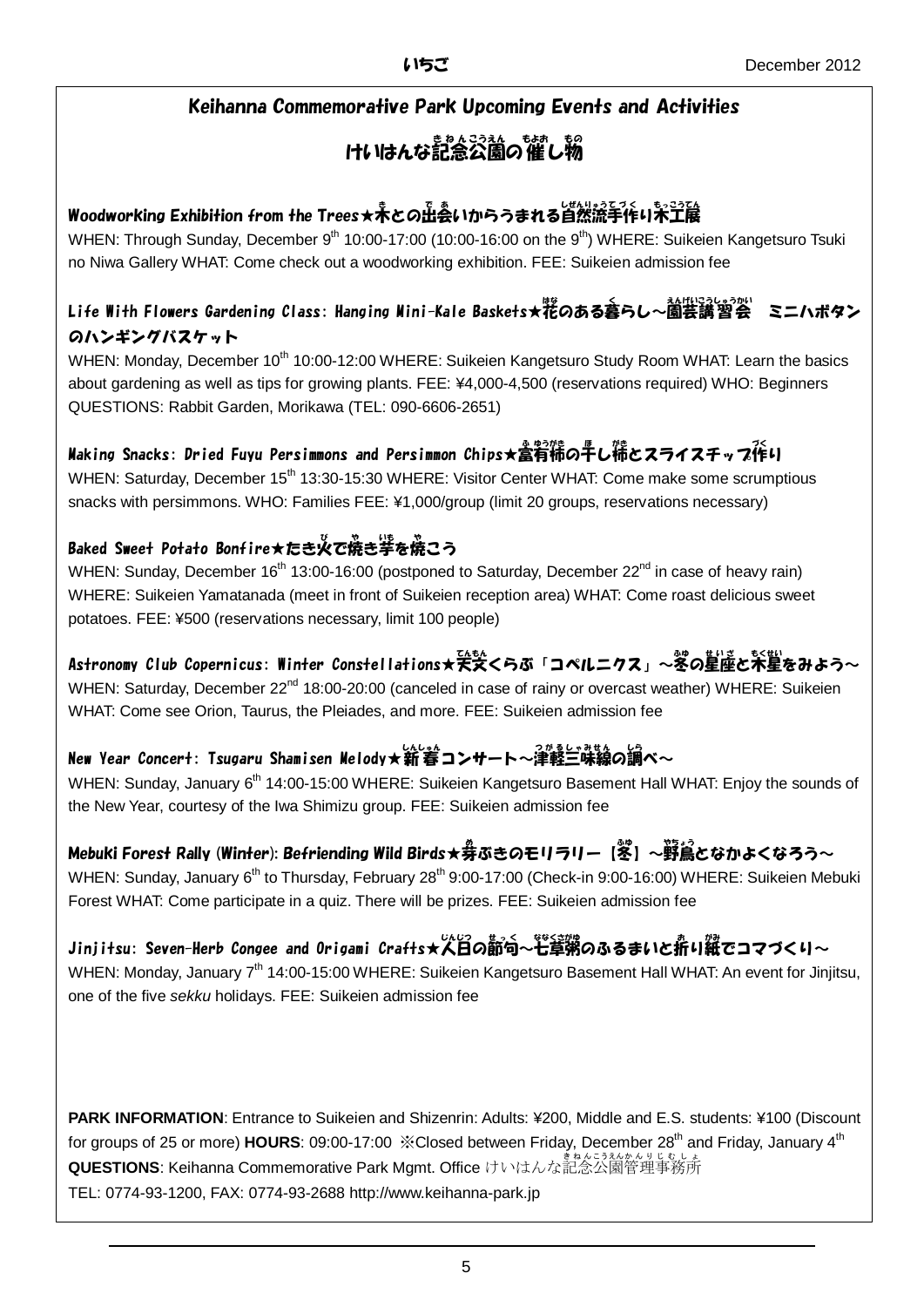## Keihanna Commemorative Park Upcoming Events and Activities

# けいはんな記念公園の催し物

## Woodworking Exhibition from the Trees★ネとの出会いからうまれる自然流手作り米工展

WHEN: Through Sunday, December  $9<sup>th</sup> 10:00-17:00$  (10:00-16:00 on the  $9<sup>th</sup>$ ) WHERE: Suikeien Kangetsuro Tsuki no Niwa Gallery WHAT: Come check out a woodworking exhibition. FEE: Suikeien admission fee

#### Life With Flowers Gardening Class: Hanging Mini-Kale Baskets★糀のある暮らし~園芸講習会 ミニハボタン のハンギングバスケット

WHEN: Monday, December 10<sup>th</sup> 10:00-12:00 WHERE: Suikeien Kangetsuro Study Room WHAT: Learn the basics about gardening as well as tips for growing plants. FEE: ¥4,000-4,500 (reservations required) WHO: Beginners QUESTIONS: Rabbit Garden, Morikawa (TEL: 090-6606-2651)

## Making Snacks: Dried Fuyu Persimmons and Persimmon Chips★富有柿の早し稀とスライスチップ作り

WHEN: Saturday, December 15<sup>th</sup> 13:30-15:30 WHERE: Visitor Center WHAT: Come make some scrumptious snacks with persimmons. WHO: Families FEE: ¥1,000/group (limit 20 groups, reservations necessary)

## Baked Sweet Potato Bonfire★たき※で焼き挙を焼こう

WHEN: Sunday, December  $16<sup>th</sup> 13:00-16:00$  (postponed to Saturday, December  $22<sup>nd</sup>$  in case of heavy rain) WHERE: Suikeien Yamatanada (meet in front of Suikeien reception area) WHAT: Come roast delicious sweet potatoes. FEE: ¥500 (reservations necessary, limit 100 people)

## Astronomy Club Copernicus: Winter Constellations★天文くらぶ「コペルニクス」~冬の星座と禾星をみよう~

WHEN: Saturday, December 22<sup>nd</sup> 18:00-20:00 (canceled in case of rainy or overcast weather) WHERE: Suikeien WHAT: Come see Orion, Taurus, the Pleiades, and more. FEE: Suikeien admission fee

## New Year Concert: Tsugaru Shamisen Melody★新春コンサート~津軽三味線の調べ~

WHEN: Sunday, January 6<sup>th</sup> 14:00-15:00 WHERE: Suikeien Kangetsuro Basement Hall WHAT: Enjoy the sounds of the New Year, courtesy of the Iwa Shimizu group. FEE: Suikeien admission fee

## Mebuki Forest Rally (Winter): Befriending Wild Birds★券ぶきのモリラリー【签】~野鳶となかよくなろう~

WHEN: Sunday, January 6<sup>th</sup> to Thursday, February 28<sup>th</sup> 9:00-17:00 (Check-in 9:00-16:00) WHERE: Suikeien Mebuki Forest WHAT: Come participate in a quiz. There will be prizes. FEE: Suikeien admission fee

## Jinjitsu: Seven-Herb Congee and Origami Crafts★人日の齗句~芒章粥のふるまいと折り縦でコマづくり~

WHEN: Monday, January 7<sup>th</sup> 14:00-15:00 WHERE: Suikeien Kangetsuro Basement Hall WHAT: An event for Jinjitsu, one of the five *sekku* holidays. FEE: Suikeien admission fee

**PARK INFORMATION**: Entrance to Suikeien and Shizenrin: Adults: ¥200, Middle and E.S. students: ¥100 (Discount for groups of 25 or more) HOURS: 09:00-17:00  $\cdot$ Closed between Friday, December 28<sup>th</sup> and Friday, January 4<sup>th</sup> **QUESTIONS**: Keihanna Commemorative Park Mgmt. Office けいはんな記念公園管理事務所 TEL: 0774-93-1200, FAX: 0774-93-2688 http://www.keihanna-park.jp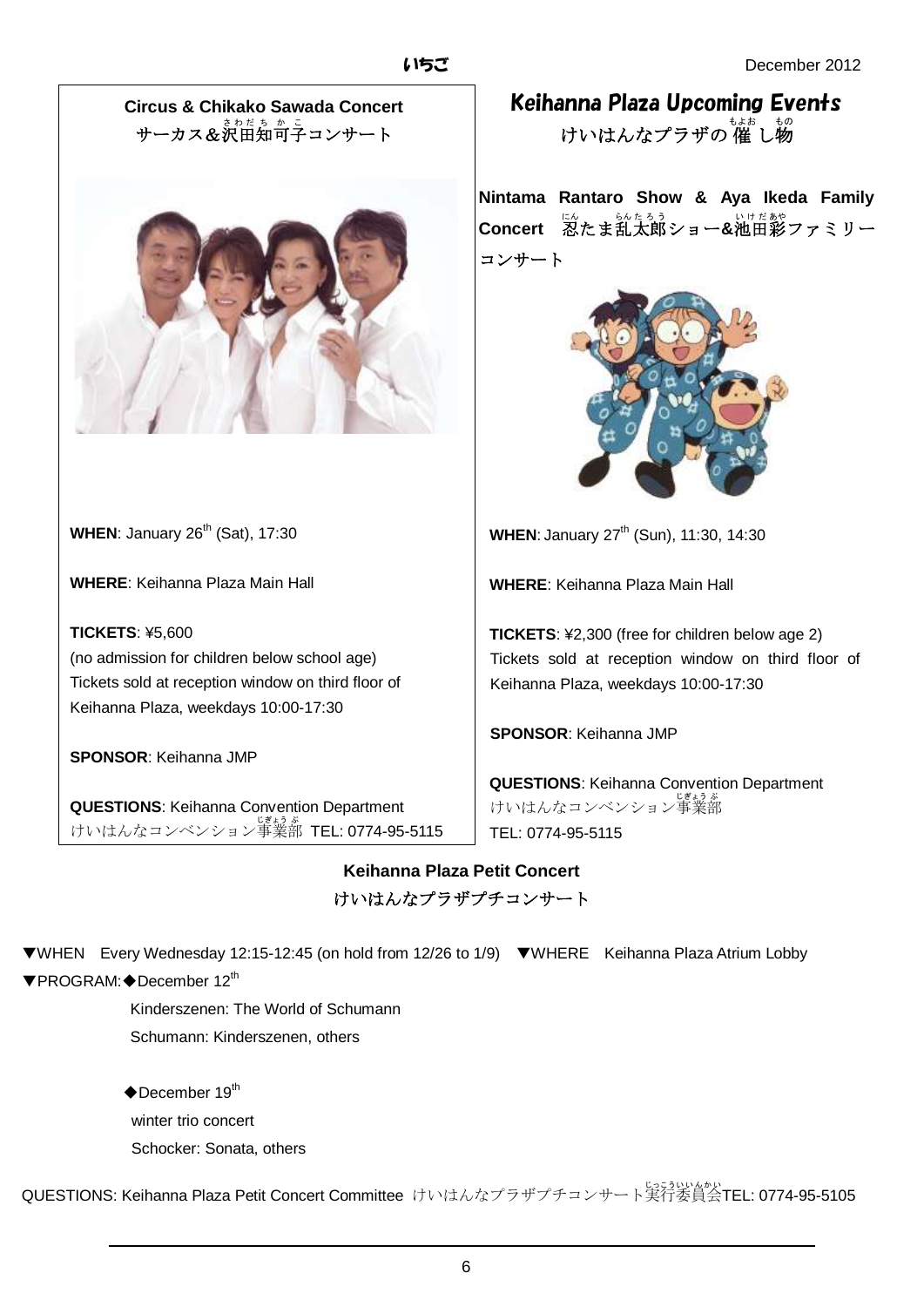**Circus & Chikako Sawada Concert** サーカス&決田知可子コンサート



**WHEN:** January 26<sup>th</sup> (Sat), 17:30

**WHERE**: Keihanna Plaza Main Hall

**TICKETS**: ¥5,600 (no admission for children below school age) Tickets sold at reception window on third floor of Keihanna Plaza, weekdays 10:00-17:30

**SPONSOR**: Keihanna JMP

**QUESTIONS**: Keihanna Convention Department けいはんなコンベンション事業部 TEL: 0774-95-5115 Keihanna Plaza Upcoming Events けいはんなプラザの 催 し物

**Nintama Rantaro Show & Aya Ikeda Family**  Concert 忍たま乱太郎ショー&池田彩ファミリー コンサート



**WHEN:** January 27<sup>th</sup> (Sun), 11:30, 14:30

**WHERE**: Keihanna Plaza Main Hall

**TICKETS**: ¥2,300 (free for children below age 2) Tickets sold at reception window on third floor of Keihanna Plaza, weekdays 10:00-17:30

**SPONSOR**: Keihanna JMP

**QUESTIONS**: Keihanna Convention Department けいはんなコンベンション事業部 TEL: 0774-95-5115

**Keihanna Plaza Petit Concert** けいはんなプラザプチコンサート

▼WHEN Every Wednesday 12:15-12:45 (on hold from 12/26 to 1/9) ▼WHERE Keihanna Plaza Atrium Lobby ▼PROGRAM:◆December 12th

> Kinderszenen: The World of Schumann Schumann: Kinderszenen, others

 $\blacklozenge$ December 19<sup>th</sup> winter trio concert Schocker: Sonata, others

QUESTIONS: Keihanna Plaza Petit Concert Committee けいはんなプラザプチコンサート実行 じっこう 委員会 いいんかい TEL: 0774-95-5105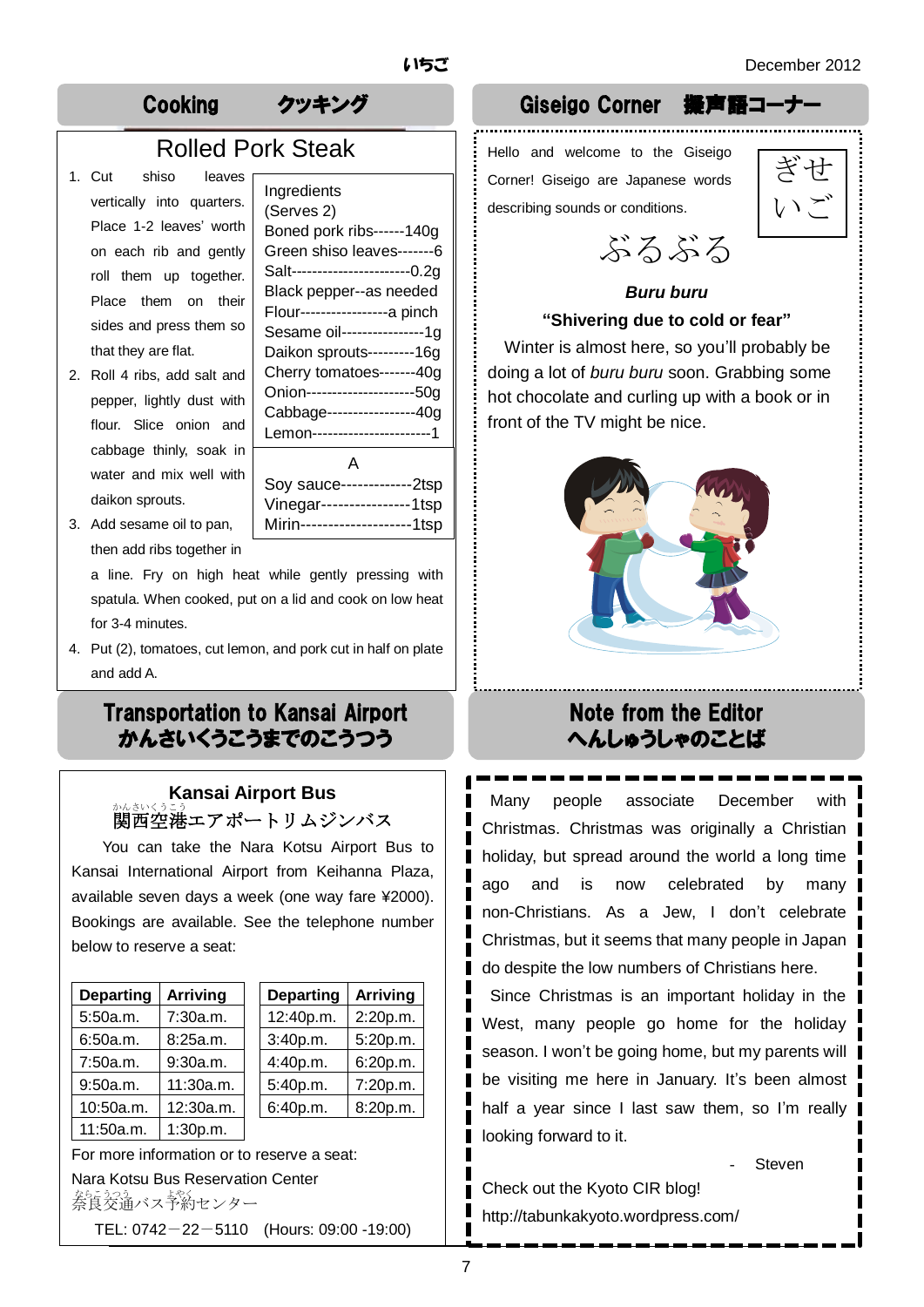## Cooking クッキング Giseigo Corner 擬声語コーナー

## Rolled Pork Steak

- sides and press them so 1. Cut shiso leaves vertically into quarters. Place 1-2 leaves' worth on each rib and gently roll them up together. Place them on their that they are flat.
- 2. Roll 4 ribs, add salt and pepper, lightly dust with flour. Slice onion and cabbage thinly, soak in water and mix well with daikon sprouts.

| Ingredients                     |
|---------------------------------|
| (Serves 2)                      |
| Boned pork ribs------140g       |
| Green shiso leaves-------6      |
| Salt-----------------------0.2q |
| Black pepper--as needed         |
| Flour------------------a pinch  |
| Sesame oil----------------1g    |
| Daikon sprouts---------16g      |
| Cherry tomatoes-------40g       |
| Onion---------------------50g   |
| Cabbage-----------------40g     |
| Lemon-----------------------1   |
| Д                               |
| Soy sauce-------------2tsp      |

Vinegar----------------1tsp Mirin--------------------1tsp

3. Add sesame oil to pan, then add ribs together in

> a line. Fry on high heat while gently pressing with spatula. When cooked, put on a lid and cook on low heat for 3-4 minutes.

4. Put (2), tomatoes, cut lemon, and pork cut in half on plate and add A.

## Transportation to Kansai Airport かんさいくうこうまでのこうつう

## **Kansai Airport Bus** 。<br>関西空港エアポートリムジンバス

You can take the Nara Kotsu Airport Bus to Kansai International Airport from Keihanna Plaza, available seven days a week (one way fare ¥2000). Bookings are available. See the telephone number below to reserve a seat:

| <b>Departing</b> | <b>Arriving</b> |  |
|------------------|-----------------|--|
| 5:50a.m.         | 7:30a.m.        |  |
| 6:50a.m.         | 8:25a.m.        |  |
| 7:50a.m.         | 9:30a.m.        |  |
| 9:50a.m.         | 11:30a.m.       |  |
| 10:50a.m.        | 12:30a.m.       |  |
| 11:50a.m.        | 1:30p.m.        |  |

| <b>Departing</b> | <b>Arriving</b> | <b>Departing</b> | <b>Arriving</b> |
|------------------|-----------------|------------------|-----------------|
| 5:50a.m.         | 7:30a.m.        | 12:40p.m.        | 2:20p.m.        |
| 6:50a.m.         | 8:25a.m.        | 3:40p.m.         | 5:20p.m.        |
| 7:50a.m.         | 9:30a.m.        | 4:40p.m.         | 6:20p.m.        |
| 9:50a.m.         | 11:30a.m.       | 5:40p.m.         | 7:20p.m.        |
| 10:50a.m.        | 12:30a.m.       | 6:40p.m.         | 8:20p.m.        |
|                  |                 |                  |                 |

For more information or to reserve a seat: Nara Kotsu Bus Reservation Center をにかえ<br>奈良交通バス予約センター TEL: 0742-22-5110 (Hours: 09:00 -19:00)

## Hello and welcome to the Giseigo

Corner! Giseigo are Japanese words describing sounds or conditions.



ぶるぶる

## *Buru buru*

#### **"Shivering due to cold or fear"**

Winter is almost here, so you'll probably be doing a lot of *buru buru* soon. Grabbing some hot chocolate and curling up with a book or in front of the TV might be nice.



## Note from the Editor へんしゅうしゃのことば

Many people associate December with Christmas. Christmas was originally a Christian holiday, but spread around the world a long time ago and is now celebrated by many non-Christians. As a Jew, I don't celebrate Christmas, but it seems that many people in Japan do despite the low numbers of Christians here.

Since Christmas is an important holiday in the West, many people go home for the holiday season. I won't be going home, but my parents will be visiting me here in January. It's been almost half a year since I last saw them, so I'm really looking forward to it.

**Steven** 

Check out the Kyoto CIR blog! http://tabunkakyoto.wordpress.com/